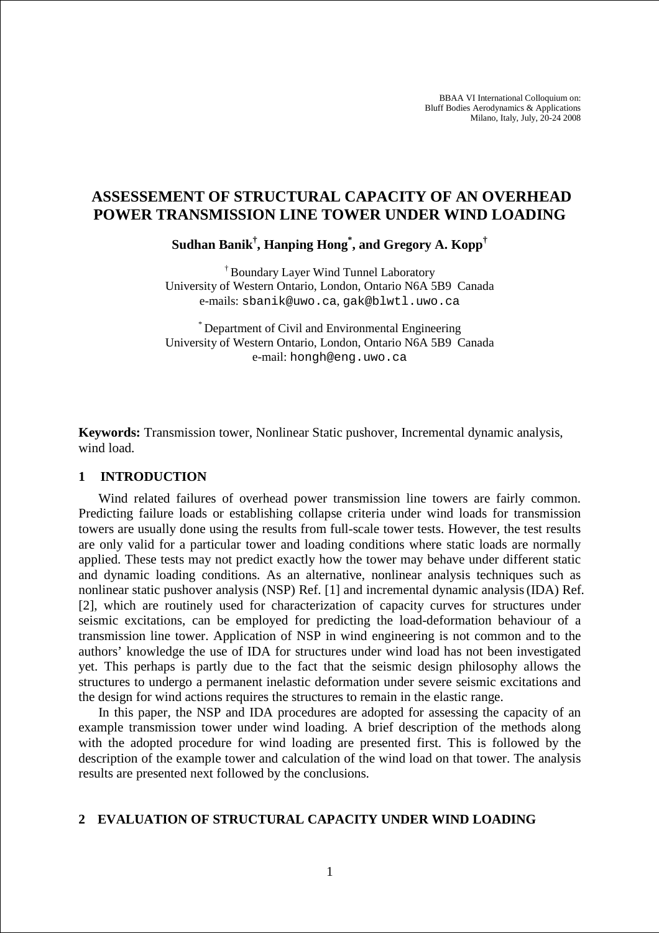BBAA VI International Colloquium on: Bluff Bodies Aerodynamics & Applications Milano, Italy, July, 20-24 2008

# **ASSESSEMENT OF STRUCTURAL CAPACITY OF AN OVERHEAD POWER TRANSMISSION LINE TOWER UNDER WIND LOADING**

**Sudhan Banik† , Hanping Hong\* , and Gregory A. Kopp†**

† Boundary Layer Wind Tunnel Laboratory University of Western Ontario, London, Ontario N6A 5B9 Canada e-mails: sbanik@uwo.ca, gak@blwtl.uwo.ca

\* Department of Civil and Environmental Engineering University of Western Ontario, London, Ontario N6A 5B9 Canada e-mail: hongh@eng.uwo.ca

**Keywords:** Transmission tower, Nonlinear Static pushover, Incremental dynamic analysis, wind load.

#### **1 INTRODUCTION**

Wind related failures of overhead power transmission line towers are fairly common. Predicting failure loads or establishing collapse criteria under wind loads for transmission towers are usually done using the results from full-scale tower tests. However, the test results are only valid for a particular tower and loading conditions where static loads are normally applied. These tests may not predict exactly how the tower may behave under different static and dynamic loading conditions. As an alternative, nonlinear analysis techniques such as nonlinear static pushover analysis (NSP) Ref. [1] and incremental dynamic analysis(IDA) Ref. [2], which are routinely used for characterization of capacity curves for structures under seismic excitations, can be employed for predicting the load-deformation behaviour of a transmission line tower. Application of NSP in wind engineering is not common and to the authors' knowledge the use of IDA for structures under wind load has not been investigated yet. This perhaps is partly due to the fact that the seismic design philosophy allows the structures to undergo a permanent inelastic deformation under severe seismic excitations and the design for wind actions requires the structures to remain in the elastic range.

In this paper, the NSP and IDA procedures are adopted for assessing the capacity of an example transmission tower under wind loading. A brief description of the methods along with the adopted procedure for wind loading are presented first. This is followed by the description of the example tower and calculation of the wind load on that tower. The analysis results are presented next followed by the conclusions.

### **2 EVALUATION OF STRUCTURAL CAPACITY UNDER WIND LOADING**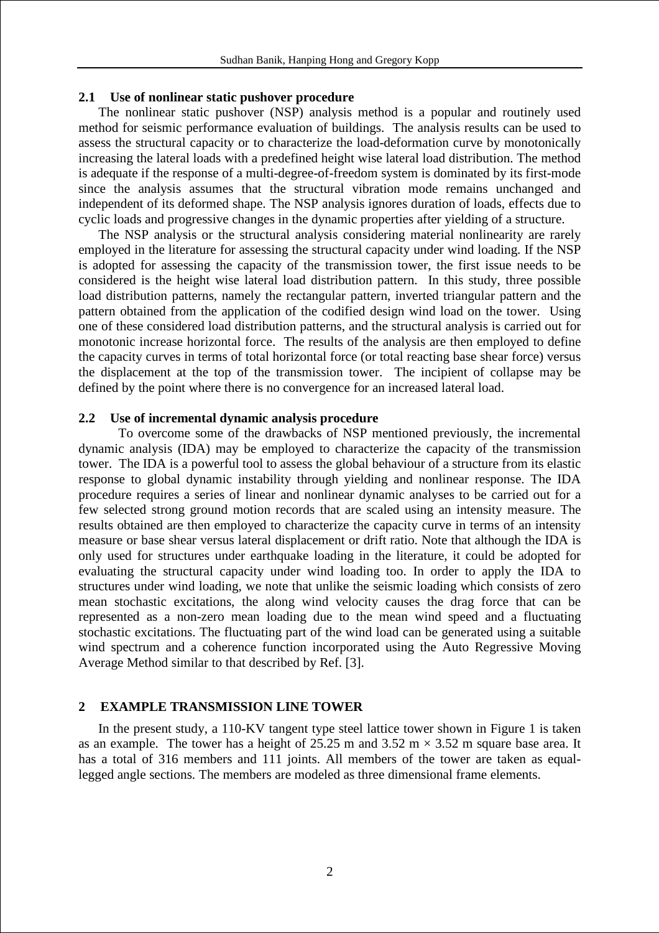### **2.1 Use of nonlinear static pushover procedure**

The nonlinear static pushover (NSP) analysis method is a popular and routinely used method for seismic performance evaluation of buildings. The analysis results can be used to assess the structural capacity or to characterize the load-deformation curve by monotonically increasing the lateral loads with a predefined height wise lateral load distribution. The method is adequate if the response of a multi-degree-of-freedom system is dominated by its first-mode since the analysis assumes that the structural vibration mode remains unchanged and independent of its deformed shape. The NSP analysis ignores duration of loads, effects due to cyclic loads and progressive changes in the dynamic properties after yielding of a structure.

The NSP analysis or the structural analysis considering material nonlinearity are rarely employed in the literature for assessing the structural capacity under wind loading. If the NSP is adopted for assessing the capacity of the transmission tower, the first issue needs to be considered is the height wise lateral load distribution pattern. In this study, three possible load distribution patterns, namely the rectangular pattern, inverted triangular pattern and the pattern obtained from the application of the codified design wind load on the tower. Using one of these considered load distribution patterns, and the structural analysis is carried out for monotonic increase horizontal force. The results of the analysis are then employed to define the capacity curves in terms of total horizontal force (or total reacting base shear force) versus the displacement at the top of the transmission tower. The incipient of collapse may be defined by the point where there is no convergence for an increased lateral load.

### **2.2 Use of incremental dynamic analysis procedure**

To overcome some of the drawbacks of NSP mentioned previously, the incremental dynamic analysis (IDA) may be employed to characterize the capacity of the transmission tower. The IDA is a powerful tool to assess the global behaviour of a structure from its elastic response to global dynamic instability through yielding and nonlinear response. The IDA procedure requires a series of linear and nonlinear dynamic analyses to be carried out for a few selected strong ground motion records that are scaled using an intensity measure. The results obtained are then employed to characterize the capacity curve in terms of an intensity measure or base shear versus lateral displacement or drift ratio. Note that although the IDA is only used for structures under earthquake loading in the literature, it could be adopted for evaluating the structural capacity under wind loading too. In order to apply the IDA to structures under wind loading, we note that unlike the seismic loading which consists of zero mean stochastic excitations, the along wind velocity causes the drag force that can be represented as a non-zero mean loading due to the mean wind speed and a fluctuating stochastic excitations. The fluctuating part of the wind load can be generated using a suitable wind spectrum and a coherence function incorporated using the Auto Regressive Moving Average Method similar to that described by Ref. [3].

### **2 EXAMPLE TRANSMISSION LINE TOWER**

In the present study, a 110-KV tangent type steel lattice tower shown in Figure 1 is taken as an example. The tower has a height of 25.25 m and 3.52 m  $\times$  3.52 m square base area. It has a total of 316 members and 111 joints. All members of the tower are taken as equallegged angle sections. The members are modeled as three dimensional frame elements.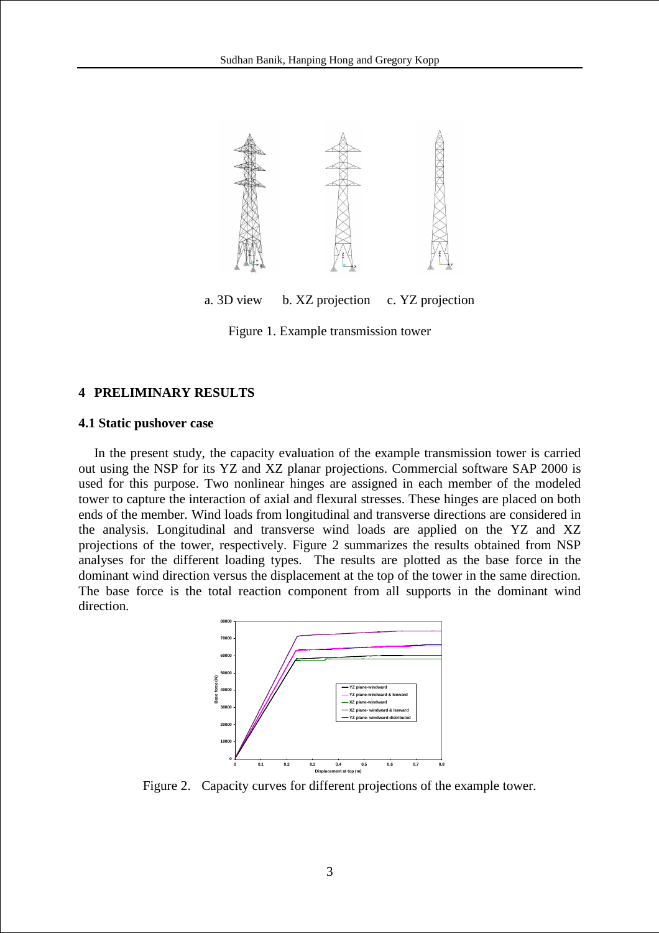

a. 3D view b. XZ projection c. YZ projection

Figure 1. Example transmission tower

## **4 PRELIMINARY RESULTS**

### **4.1 Static pushover case**

In the present study, the capacity evaluation of the example transmission tower is carried out using the NSP for its YZ and XZ planar projections. Commercial software SAP 2000 is used for this purpose. Two nonlinear hinges are assigned in each member of the modeled tower to capture the interaction of axial and flexural stresses. These hinges are placed on both ends of the member. Wind loads from longitudinal and transverse directions are considered in the analysis. Longitudinal and transverse wind loads are applied on the YZ and XZ projections of the tower, respectively. Figure 2 summarizes the results obtained from NSP analyses for the different loading types. The results are plotted as the base force in the dominant wind direction versus the displacement at the top of the tower in the same direction. The base force is the total reaction component from all supports in the dominant wind direction.



Figure 2. Capacity curves for different projections of the example tower.